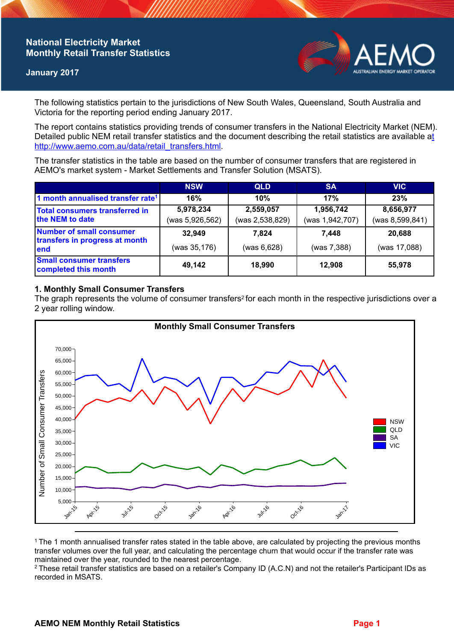# **National Electricity Market Monthly Retail Transfer Statistics**

#### **January 2017**



The following statistics pertain to the jurisdictions of New South Wales, Queensland, South Australia and Victoria for the reporting period ending January 2017.

The report contains statistics providing trends of consumer transfers in the National Electricity Market (NEM). Detailed public NEM retail transfer statistics and the document describing the retail statistics are available a[t](http://www.aemo.com.au/data/retail_transfers.html)  http://www.aemo.com.au/data/retail\_transfers.html

The transfer statistics in the table are based on the number of consumer transfers that are registered in AEMO's market system - Market Settlements and Transfer Solution (MSATS).

|                                                                           | <b>NSW</b>      | <b>QLD</b>      | <b>SA</b>       | <b>VIC</b>      |
|---------------------------------------------------------------------------|-----------------|-----------------|-----------------|-----------------|
| 1 month annualised transfer rate <sup>1</sup>                             | 16%             | 10%             | 17%             | 23%             |
| <b>Total consumers transferred in</b><br>the NEM to date                  | 5,978,234       | 2,559,057       | 1,956,742       | 8,656,977       |
|                                                                           | (was 5,926,562) | (was 2,538,829) | (was 1,942,707) | (was 8,599,841) |
| <b>Number of small consumer</b><br>transfers in progress at month<br>lend | 32,949          | 7.824           | 7.448           | 20,688          |
|                                                                           | (was 35,176)    | (was 6,628)     | (was 7,388)     | (was 17,088)    |
| <b>Small consumer transfers</b><br>completed this month                   | 49,142          | 18,990          | 12,908          | 55,978          |

## **1. Monthly Small Consumer Transfers**

The graph represents the volume of consumer transfers<sup>2</sup> for each month in the respective jurisdictions over a 2 year rolling window.



<sup>1</sup>The 1 month annualised transfer rates stated in the table above, are calculated by projecting the previous months transfer volumes over the full year, and calculating the percentage churn that would occur if the transfer rate was maintained over the year, rounded to the nearest percentage.

<sup>2</sup> These retail transfer statistics are based on a retailer's Company ID (A.C.N) and not the retailer's Participant IDs as recorded in MSATS.